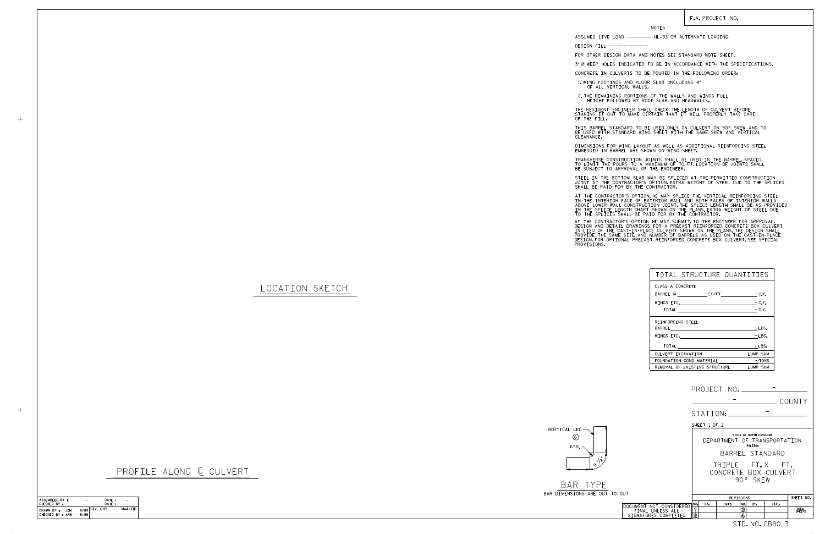CHECKED BY : ASSEMBLED BY : DATE : DATE : –−<br>MAA/THC ASSEMBLED BY : ARB AND THE CHECKED BY : ARB AND REV. 6/19<br>DRAWN BY : JEM 8/89 REV. 6/19<br>CHECKED BY : ARB 8/89 - -

PROFILE ALONG  $C$  CULVERT

|                                                                     | PROJECT NO. ______________                                                                                 |
|---------------------------------------------------------------------|------------------------------------------------------------------------------------------------------------|
|                                                                     | COUNTY                                                                                                     |
|                                                                     | STATION:                                                                                                   |
|                                                                     | SHEET 1 OF 2                                                                                               |
|                                                                     | STATE OF NORTH CAROLINA<br>DEPARTMENT OF TRANSPORTATION<br>RALEIGH<br>BARREL STANDARD                      |
| TO OUT                                                              | TRIPLE FT.X FT.<br>CONCRETE BOX CULVERT<br>90° SKFW                                                        |
|                                                                     | SHEET NO.<br>REVISIONS                                                                                     |
| DOCUMENT NOT CONSIDERED<br>FINAL UNLESS ALL<br>SIGNATURES COMPLETED | NO.<br>BY:<br>NO.<br>DATE:<br>DATE:<br>RY:<br>ิ์ โ<br>$\overline{\mathbf{3}}$<br>TOTAL<br>SHEETS<br>2<br>4 |
|                                                                     | STD. NO. CB90 <sub>-</sub> 3                                                                               |

BAR TYPE BAR DIMENSIONS ARE OUT

## F.A. PROJECT NO.



## LOCATION SKETCH

 $+$ 

STEEL IN THE BOTTOM SLAB MAY BE SPLICED AT THE PERMITTED CONSTRUCTION JOINT AT THE CONTRACTOR'S OPTION.EXTRA WEIGHT OF STEEL DUE TO THE SPLICES<br>SHALL BE PAID FOR BY THE CONTRACTOR.

NOTES

DESIGN FILL-----------------

FOR OTHER DESIGN DATA AND NOTES SEE STANDARD NOTE SHEET.

3" Ø WEEP HOLES INDICATED TO BE IN ACCORDANCE WITH THE SPECIFICATIONS.

CONCRETE IN CULVERTS TO BE POURED IN THE FOLLOWING ORDER:

1.WING FOOTINGS AND FLOOR SLAB INCLUDING 4"<br>OF ALL VERTICAL WALLS.

2.THE REMAINING PORTIONS OF THE WALLS AND WINGS FULL<br>HEIGHT FOLLOWED BY ROOF SLAB AND HEADWALLS.

THE RESIDENT ENGINEER SHALL CHECK THE LENGTH OF CULVERT BEFORE STAKING IT OUT TO MAKE CERTAIN THAT IT WILL PROPERLY TAKE CARE OF THE FILL.

IN THE INTERIOR FACE OF EXTERIOR WALL AND BOTH FACES OF INTERIOR WALLS<br>ABOVE LOWER WALL CONSTRUCTION JOINT THE SPLICE LENGTH SHALL BE AS PROVIDED<br>IN THE SPLICE LENGTH CHART SHOWN ON THE PLANS EXTRA WEIGHT OF STEEL DUE<br>TO T AT THE CONTRACTOR'S OPTION, HE MAY SPLICE THE VERTICAL REINFORCING STEEL

AT THE CONTRACTOR'S OPTION HE MAY SUBMIT, TO THE ENGINEER FOR APPROVAL,<br>DESIGN AND DETAIL DRAWINGS FOR A PRECAST REINFORCED CONCRETE BOX CULVERT<br>IN LIEU OF THE CAST-IN-PLACE CULVERT SHOWN ON THE PLANS.THE DESIGN SHALL<br>PROV

BE USED WITH STANDARD WING SHEET WITH THE SAME SKEW AND VERTICAL CLEARANCE. THIS BARREL STANDARD TO BE USED ONLY ON CULVERT ON 90° SKEW AND TO

DIMENSIONS FOR WING LAYOUT AS WELL AS ADDITIONAL REINFORCING STEEL<br>EMBEDDED IN BARREL ARE SHOWN ON WING SHEET.

TRANSVERSE CONSTRUCTION JOINTS SHALL BE USED IN THE BARREL,SPACED<br>TO LIMIT THE POURS TO A MAXIMUM OF 70 FT.LOCATION OF JOINTS SHALL<br>BE SUBJECT TO APPROVAL OF THE ENGINEER.

| TOTAL STRUCTURE QUANTITIES        |                 |
|-----------------------------------|-----------------|
| CLASS A CONCRETE                  |                 |
| BARREL @ - CY/FT - C.Y.           |                 |
|                                   | $-$ C.Y.        |
| TOTAL - C.Y.                      |                 |
| REINFORCING STEEL                 |                 |
| BARREL <b>AND A SERVICE STATE</b> | - LBS.          |
| WINGS ETC.                        | - LBS.          |
|                                   | - LBS.          |
| CULVERT EXCAVATION                | <b>LUMP SUM</b> |
| FOUNDATION COND. MATERIAL         | - TONS          |
| REMOVAL OF EXTSTING STRUCTURE     | LUMP SUM        |

ASSUMED LIVE LOAD ---------- HL-93 OR ALTERNATE LOADING.